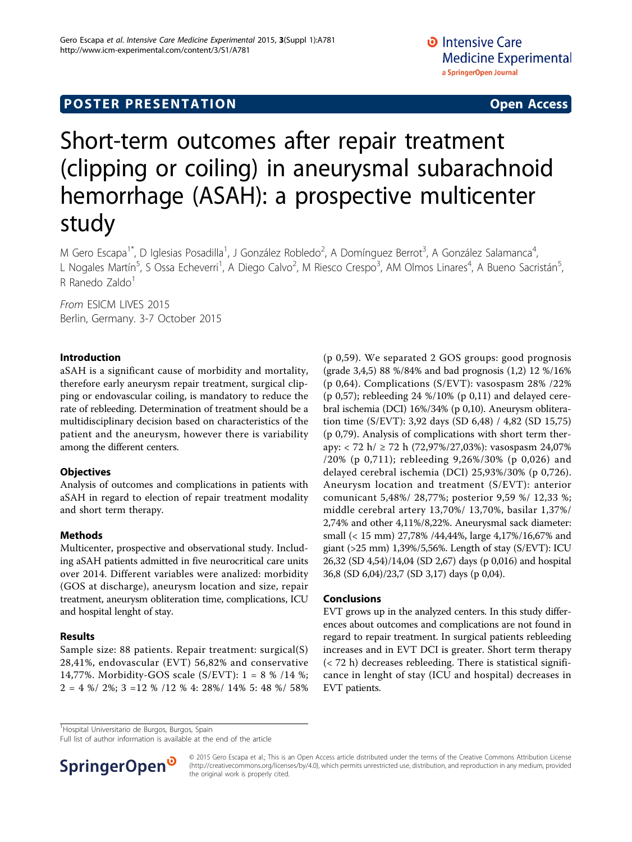# **POSTER PRESENTATION CONSUMING ACCESS**

# Short-term outcomes after repair treatment (clipping or coiling) in aneurysmal subarachnoid hemorrhage (ASAH): a prospective multicenter study

M Gero Escapa<sup>1\*</sup>, D Iglesias Posadilla<sup>1</sup>, J González Robledo<sup>2</sup>, A Domínguez Berrot<sup>3</sup>, A González Salamanca<sup>4</sup> , L Nogales Martín<sup>5</sup>, S Ossa Echeverri<sup>1</sup>, A Diego Calvo<sup>2</sup>, M Riesco Crespo<sup>3</sup>, AM Olmos Linares<sup>4</sup>, A Bueno Sacristán<sup>5</sup> , R Ranedo Zaldo $1$ 

From ESICM LIVES 2015 Berlin, Germany. 3-7 October 2015

## Introduction

aSAH is a significant cause of morbidity and mortality, therefore early aneurysm repair treatment, surgical clipping or endovascular coiling, is mandatory to reduce the rate of rebleeding. Determination of treatment should be a multidisciplinary decision based on characteristics of the patient and the aneurysm, however there is variability among the different centers.

### **Objectives**

Analysis of outcomes and complications in patients with aSAH in regard to election of repair treatment modality and short term therapy.

### Methods

Multicenter, prospective and observational study. Including aSAH patients admitted in five neurocritical care units over 2014. Different variables were analized: morbidity (GOS at discharge), aneurysm location and size, repair treatment, aneurysm obliteration time, complications, ICU and hospital lenght of stay.

### Results

Sample size: 88 patients. Repair treatment: surgical(S) 28,41%, endovascular (EVT) 56,82% and conservative 14,77%. Morbidity-GOS scale (S/EVT): 1 = 8 % /14 %;  $2 = 4 %/ 2 %; 3 = 12 %/ 12 %4: 28%/ 14% 5: 48 %/ 58%$ 

(p 0,59). We separated 2 GOS groups: good prognosis (grade 3,4,5) 88 %/84% and bad prognosis (1,2) 12 %/16% (p 0,64). Complications (S/EVT): vasospasm 28% /22% (p 0,57); rebleeding 24 %/10% (p 0,11) and delayed cerebral ischemia (DCI) 16%/34% (p 0,10). Aneurysm obliteration time (S/EVT): 3,92 days (SD 6,48) / 4,82 (SD 15,75) (p 0,79). Analysis of complications with short term therapy: < 72 h/ ≥ 72 h (72,97%/27,03%): vasospasm 24,07% /20% (p 0,711); rebleeding 9,26%/30% (p 0,026) and delayed cerebral ischemia (DCI) 25,93%/30% (p 0,726). Aneurysm location and treatment (S/EVT): anterior comunicant 5,48%/ 28,77%; posterior 9,59 %/ 12,33 %; middle cerebral artery 13,70%/ 13,70%, basilar 1,37%/ 2,74% and other 4,11%/8,22%. Aneurysmal sack diameter: small (< 15 mm) 27,78% /44,44%, large 4,17%/16,67% and giant (>25 mm) 1,39%/5,56%. Length of stay (S/EVT): ICU 26,32 (SD 4,54)/14,04 (SD 2,67) days (p 0,016) and hospital 36,8 (SD 6,04)/23,7 (SD 3,17) days (p 0,04).

### Conclusions

EVT grows up in the analyzed centers. In this study differences about outcomes and complications are not found in regard to repair treatment. In surgical patients rebleeding increases and in EVT DCI is greater. Short term therapy (< 72 h) decreases rebleeding. There is statistical significance in lenght of stay (ICU and hospital) decreases in EVT patients.

<sup>1</sup>Hospital Universitario de Burgos, Burgos, Spain

Full list of author information is available at the end of the article



© 2015 Gero Escapa et al.; This is an Open Access article distributed under the terms of the Creative Commons Attribution License [\(http://creativecommons.org/licenses/by/4.0](http://creativecommons.org/licenses/by/4.0)), which permits unrestricted use, distribution, and reproduction in any medium, provided the original work is properly cited.